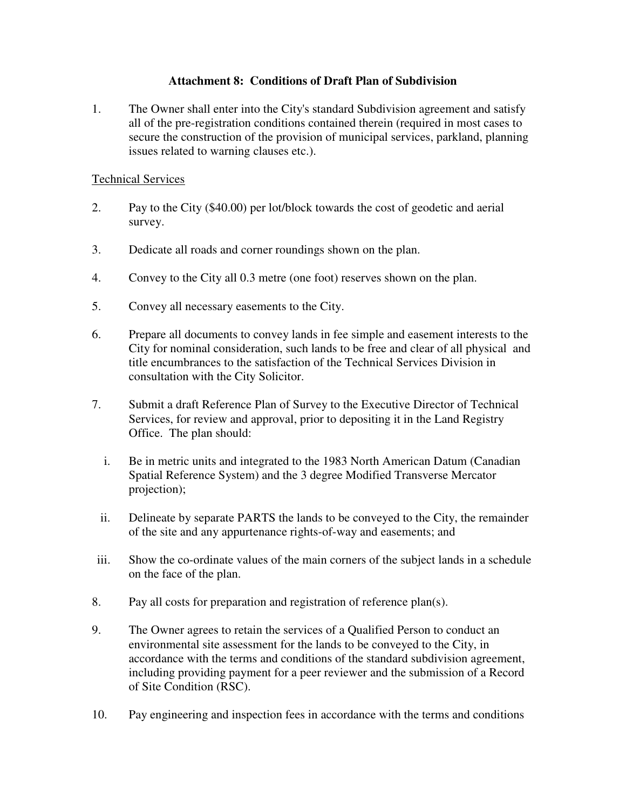# **Attachment 8: Conditions of Draft Plan of Subdivision**

1. The Owner shall enter into the City's standard Subdivision agreement and satisfy all of the pre-registration conditions contained therein (required in most cases to secure the construction of the provision of municipal services, parkland, planning issues related to warning clauses etc.).

### Technical Services

- 2. Pay to the City (\$40.00) per lot/block towards the cost of geodetic and aerial survey.
- 3. Dedicate all roads and corner roundings shown on the plan.
- 4. Convey to the City all 0.3 metre (one foot) reserves shown on the plan.
- 5. Convey all necessary easements to the City.
- 6. Prepare all documents to convey lands in fee simple and easement interests to the City for nominal consideration, such lands to be free and clear of all physical and title encumbrances to the satisfaction of the Technical Services Division in consultation with the City Solicitor.
- 7. Submit a draft Reference Plan of Survey to the Executive Director of Technical Services, for review and approval, prior to depositing it in the Land Registry Office. The plan should:
	- i. Be in metric units and integrated to the 1983 North American Datum (Canadian Spatial Reference System) and the 3 degree Modified Transverse Mercator projection);
	- ii. Delineate by separate PARTS the lands to be conveyed to the City, the remainder of the site and any appurtenance rights-of-way and easements; and
- iii. Show the co-ordinate values of the main corners of the subject lands in a schedule on the face of the plan.
- 8. Pay all costs for preparation and registration of reference plan(s).
- 9. The Owner agrees to retain the services of a Qualified Person to conduct an environmental site assessment for the lands to be conveyed to the City, in accordance with the terms and conditions of the standard subdivision agreement, including providing payment for a peer reviewer and the submission of a Record of Site Condition (RSC).
- 10. Pay engineering and inspection fees in accordance with the terms and conditions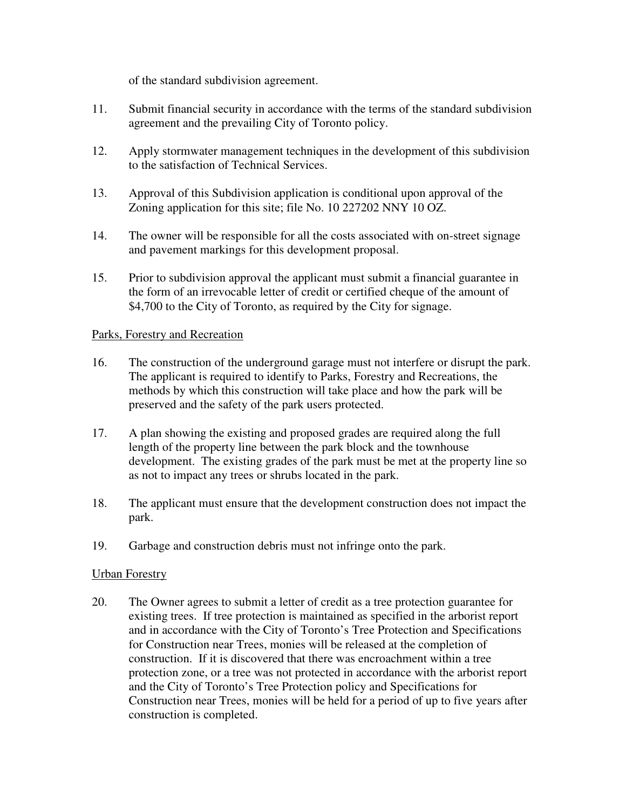of the standard subdivision agreement.

- 11. Submit financial security in accordance with the terms of the standard subdivision agreement and the prevailing City of Toronto policy.
- 12. Apply stormwater management techniques in the development of this subdivision to the satisfaction of Technical Services.
- 13. Approval of this Subdivision application is conditional upon approval of the Zoning application for this site; file No. 10 227202 NNY 10 OZ.
- 14. The owner will be responsible for all the costs associated with on-street signage and pavement markings for this development proposal.
- 15. Prior to subdivision approval the applicant must submit a financial guarantee in the form of an irrevocable letter of credit or certified cheque of the amount of \$4,700 to the City of Toronto, as required by the City for signage.

# Parks, Forestry and Recreation

- 16. The construction of the underground garage must not interfere or disrupt the park. The applicant is required to identify to Parks, Forestry and Recreations, the methods by which this construction will take place and how the park will be preserved and the safety of the park users protected.
- 17. A plan showing the existing and proposed grades are required along the full length of the property line between the park block and the townhouse development. The existing grades of the park must be met at the property line so as not to impact any trees or shrubs located in the park.
- 18. The applicant must ensure that the development construction does not impact the park.
- 19. Garbage and construction debris must not infringe onto the park.

### Urban Forestry

20. The Owner agrees to submit a letter of credit as a tree protection guarantee for existing trees. If tree protection is maintained as specified in the arborist report and in accordance with the City of Toronto's Tree Protection and Specifications for Construction near Trees, monies will be released at the completion of construction. If it is discovered that there was encroachment within a tree protection zone, or a tree was not protected in accordance with the arborist report and the City of Toronto's Tree Protection policy and Specifications for Construction near Trees, monies will be held for a period of up to five years after construction is completed.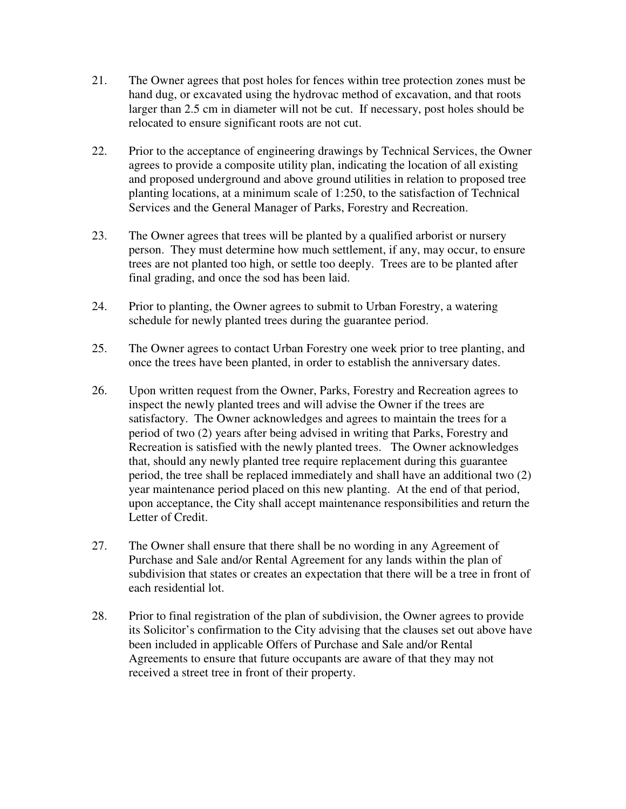- 21. The Owner agrees that post holes for fences within tree protection zones must be hand dug, or excavated using the hydrovac method of excavation, and that roots larger than 2.5 cm in diameter will not be cut. If necessary, post holes should be relocated to ensure significant roots are not cut.
- 22. Prior to the acceptance of engineering drawings by Technical Services, the Owner agrees to provide a composite utility plan, indicating the location of all existing and proposed underground and above ground utilities in relation to proposed tree planting locations, at a minimum scale of 1:250, to the satisfaction of Technical Services and the General Manager of Parks, Forestry and Recreation.
- 23. The Owner agrees that trees will be planted by a qualified arborist or nursery person. They must determine how much settlement, if any, may occur, to ensure trees are not planted too high, or settle too deeply. Trees are to be planted after final grading, and once the sod has been laid.
- 24. Prior to planting, the Owner agrees to submit to Urban Forestry, a watering schedule for newly planted trees during the guarantee period.
- 25. The Owner agrees to contact Urban Forestry one week prior to tree planting, and once the trees have been planted, in order to establish the anniversary dates.
- 26. Upon written request from the Owner, Parks, Forestry and Recreation agrees to inspect the newly planted trees and will advise the Owner if the trees are satisfactory. The Owner acknowledges and agrees to maintain the trees for a period of two (2) years after being advised in writing that Parks, Forestry and Recreation is satisfied with the newly planted trees. The Owner acknowledges that, should any newly planted tree require replacement during this guarantee period, the tree shall be replaced immediately and shall have an additional two (2) year maintenance period placed on this new planting. At the end of that period, upon acceptance, the City shall accept maintenance responsibilities and return the Letter of Credit.
- 27. The Owner shall ensure that there shall be no wording in any Agreement of Purchase and Sale and/or Rental Agreement for any lands within the plan of subdivision that states or creates an expectation that there will be a tree in front of each residential lot.
- 28. Prior to final registration of the plan of subdivision, the Owner agrees to provide its Solicitor's confirmation to the City advising that the clauses set out above have been included in applicable Offers of Purchase and Sale and/or Rental Agreements to ensure that future occupants are aware of that they may not received a street tree in front of their property.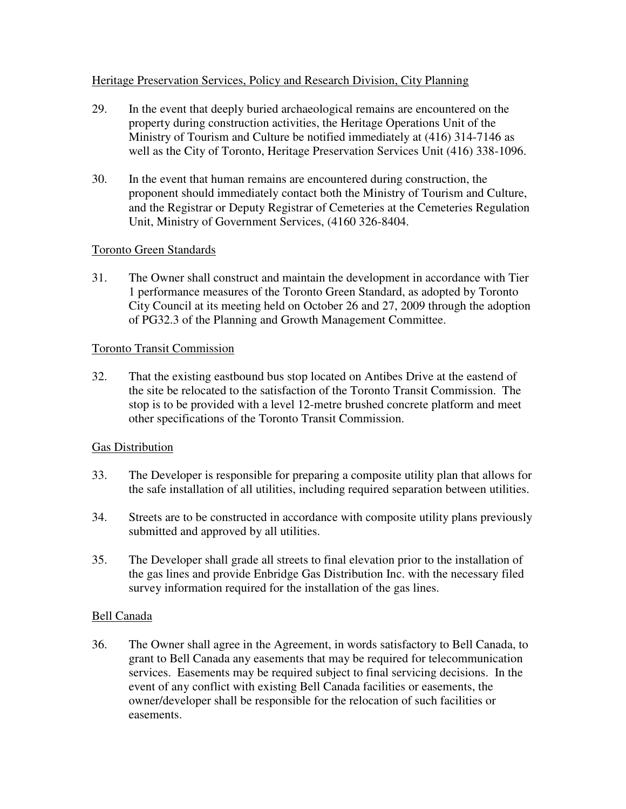# Heritage Preservation Services, Policy and Research Division, City Planning

- 29. In the event that deeply buried archaeological remains are encountered on the property during construction activities, the Heritage Operations Unit of the Ministry of Tourism and Culture be notified immediately at (416) 314-7146 as well as the City of Toronto, Heritage Preservation Services Unit (416) 338-1096.
- 30. In the event that human remains are encountered during construction, the proponent should immediately contact both the Ministry of Tourism and Culture, and the Registrar or Deputy Registrar of Cemeteries at the Cemeteries Regulation Unit, Ministry of Government Services, (4160 326-8404.

# Toronto Green Standards

31. The Owner shall construct and maintain the development in accordance with Tier 1 performance measures of the Toronto Green Standard, as adopted by Toronto City Council at its meeting held on October 26 and 27, 2009 through the adoption of PG32.3 of the Planning and Growth Management Committee.

### Toronto Transit Commission

32. That the existing eastbound bus stop located on Antibes Drive at the eastend of the site be relocated to the satisfaction of the Toronto Transit Commission. The stop is to be provided with a level 12-metre brushed concrete platform and meet other specifications of the Toronto Transit Commission.

### Gas Distribution

- 33. The Developer is responsible for preparing a composite utility plan that allows for the safe installation of all utilities, including required separation between utilities.
- 34. Streets are to be constructed in accordance with composite utility plans previously submitted and approved by all utilities.
- 35. The Developer shall grade all streets to final elevation prior to the installation of the gas lines and provide Enbridge Gas Distribution Inc. with the necessary filed survey information required for the installation of the gas lines.

### Bell Canada

36. The Owner shall agree in the Agreement, in words satisfactory to Bell Canada, to grant to Bell Canada any easements that may be required for telecommunication services. Easements may be required subject to final servicing decisions. In the event of any conflict with existing Bell Canada facilities or easements, the owner/developer shall be responsible for the relocation of such facilities or easements.